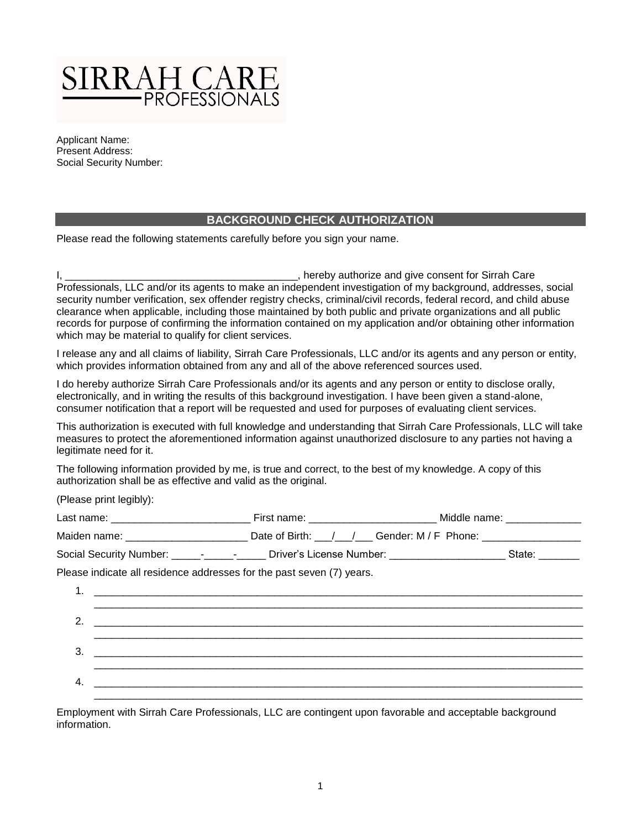

Applicant Name: Present Address: Social Security Number:

## **BACKGROUND CHECK AUTHORIZATION**

Please read the following statements carefully before you sign your name.

I, \_\_\_\_\_\_\_\_\_\_\_\_\_\_\_\_\_\_\_\_\_\_\_\_\_\_\_\_\_\_\_\_\_\_\_\_\_\_\_\_, hereby authorize and give consent for Sirrah Care Professionals, LLC and/or its agents to make an independent investigation of my background, addresses, social security number verification, sex offender registry checks, criminal/civil records, federal record, and child abuse clearance when applicable, including those maintained by both public and private organizations and all public records for purpose of confirming the information contained on my application and/or obtaining other information which may be material to qualify for client services.

I release any and all claims of liability, Sirrah Care Professionals, LLC and/or its agents and any person or entity, which provides information obtained from any and all of the above referenced sources used.

I do hereby authorize Sirrah Care Professionals and/or its agents and any person or entity to disclose orally, electronically, and in writing the results of this background investigation. I have been given a stand-alone, consumer notification that a report will be requested and used for purposes of evaluating client services.

This authorization is executed with full knowledge and understanding that Sirrah Care Professionals, LLC will take measures to protect the aforementioned information against unauthorized disclosure to any parties not having a legitimate need for it.

The following information provided by me, is true and correct, to the best of my knowledge. A copy of this authorization shall be as effective and valid as the original.

(Please print legibly):

|    |                                                                       | Maiden name: __________________________________Date of Birth: ___/___/______Gender: M / F Phone: ___________________ |  |
|----|-----------------------------------------------------------------------|----------------------------------------------------------------------------------------------------------------------|--|
|    |                                                                       | Social Security Number: _____-________________ Driver's License Number: ________________________State: _______       |  |
|    | Please indicate all residence addresses for the past seven (7) years. |                                                                                                                      |  |
|    |                                                                       |                                                                                                                      |  |
|    |                                                                       |                                                                                                                      |  |
| 2. |                                                                       |                                                                                                                      |  |
| 3. |                                                                       |                                                                                                                      |  |
|    |                                                                       |                                                                                                                      |  |
| 4. |                                                                       |                                                                                                                      |  |
|    |                                                                       |                                                                                                                      |  |

Employment with Sirrah Care Professionals, LLC are contingent upon favorable and acceptable background information.